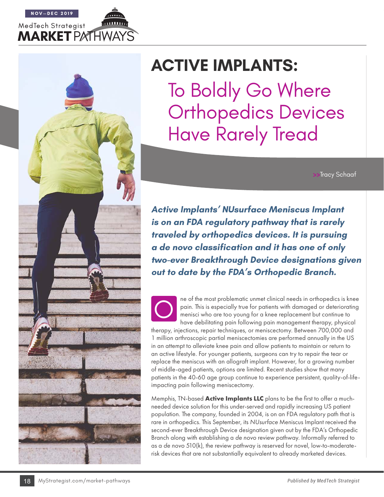



# **ACTIVE IMPLANTS:**

To Boldly Go Where Orthopedics Devices Have Rarely Tread

**>>**Tracy Schaaf

**Active Implants' NUsurface Meniscus Implant is on an FDA regulatory pathway that is rarely traveled by orthopedics devices. It is pursuing a de novo classification and it has one of only two-ever Breakthrough Device designations given out to date by the FDA's Orthopedic Branch.**

The most problematic unmet clinical needs in orthopedics is knee<br>pain. This is especially true for patients with damaged or deteriorating<br>menisci who are too young for a knee replacement but continue to<br>have debilitating p pain. This is especially true for patients with damaged or deteriorating menisci who are too young for a knee replacement but continue to have debilitating pain following pain management therapy, physical

therapy, injections, repair techniques, or meniscectomy. Between 700,000 and 1 million arthroscopic partial meniscectomies are performed annually in the US in an attempt to alleviate knee pain and allow patients to maintain or return to an active lifestyle. For younger patients, surgeons can try to repair the tear or replace the meniscus with an allograft implant. However, for a growing number of middle-aged patients, options are limited. Recent studies show that many patients in the 40-60 age group continue to experience persistent, quality-of-lifeimpacting pain following meniscectomy.

Memphis, TN-based **Active Implants LLC** plans to be the first to offer a muchneeded device solution for this under-served and rapidly increasing US patient population. The company, founded in 2004, is on an FDA regulatory path that is rare in orthopedics. This September, its *NUsurface* Meniscus Implant received the second-ever Breakthrough Device designation given out by the FDA's Orthopedic Branch along with establishing a *de novo* review pathway. Informally referred to as a *de novo* 510(k), the review pathway is reserved for novel, low-to-moderaterisk devices that are not substantially equivalent to already marketed devices.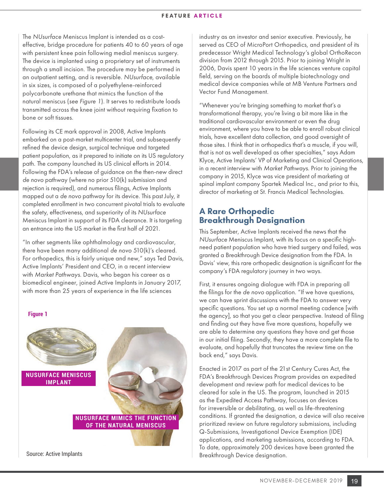The *NUsurface* Meniscus Implant is intended as a costeffective, bridge procedure for patients 40 to 60 years of age with persistent knee pain following medial meniscus surgery. The device is implanted using a proprietary set of instruments through a small incision. The procedure may be performed in an outpatient setting, and is reversible. *NUsurface*, available in six sizes, is composed of a polyethylene-reinforced polycarbonate urethane that mimics the function of the natural meniscus (*see Figure 1*). It serves to redistribute loads transmitted across the knee joint without requiring fixation to bone or soft tissues.

Following its CE mark approval in 2008, Active Implants embarked on a post-market multicenter trial, and subsequently refined the device design, surgical technique and targeted patient population, as it prepared to initiate on its US regulatory path. The company launched its US clinical efforts in 2014. Following the FDA's release of guidance on the then-new direct *de novo* pathway (where no prior 510(k) submission and rejection is required), and numerous filings, Active Implants mapped out a *de novo* pathway for its device. This past July, it completed enrollment in two concurrent pivotal trials to evaluate the safety, effectiveness, and superiority of its *NUsurface* Meniscus Implant in support of its FDA clearance. It is targeting an entrance into the US market in the first half of 2021.

"In other segments like ophthalmology and cardiovascular, there have been many additional *de novo* 510(k)'s cleared. For orthopedics, this is fairly unique and new," says Ted Davis, Active Implants' President and CEO, in a recent interview with *Market Pathways*. Davis, who began his career as a biomedical engineer, joined Active Implants in January 2017, with more than 25 years of experience in the life sciences

#### **Figure 1**



Source: Active Implants

industry as an investor and senior executive. Previously, he served as CEO of MicroPort Orthopedics, and president of its predecessor Wright Medical Technology's global OrthoRecon division from 2012 through 2015. Prior to joining Wright in 2006, Davis spent 10 years in the life sciences venture capital field, serving on the boards of multiple biotechnology and medical device companies while at MB Venture Partners and Vector Fund Management.

"Whenever you're bringing something to market that's a transformational therapy, you're living a bit more like in the traditional cardiovascular environment or even the drug environment, where you have to be able to enroll robust clinical trials, have excellent data collection, and good oversight of those sites. I think that in orthopedics that's a muscle, if you will, that is not as well developed as other specialties," says Adam Klyce, Active Implants' VP of Marketing and Clinical Operations, in a recent interview with *Market Pathways*. Prior to joining the company in 2015, Klyce was vice president of marketing at spinal implant company Spartek Medical Inc., and prior to this, director of marketing at St. Francis Medical Technologies.

#### **A Rare Orthopedic Breakthrough Designation**

This September, Active Implants received the news that the *NUsurface* Meniscus Implant, with its focus on a specific highneed patient population who have tried surgery and failed, was granted a Breakthrough Device designation from the FDA. In Davis' view, this rare orthopedic designation is significant for the company's FDA regulatory journey in two ways.

First, it ensures ongoing dialogue with FDA in preparing all the filings for the *de novo* application. "If we have questions, we can have sprint discussions with the FDA to answer very specific questions. You set up a normal meeting cadence [with the agency], so that you get a clear perspective. Instead of filing and finding out they have five more questions, hopefully we are able to determine any questions they have and get those in our initial filing. Secondly, they have a more complete file to evaluate, and hopefully that truncates the review time on the back end," says Davis.

Enacted in 2017 as part of the 21st Century Cures Act, the FDA's Breakthrough Devices Program provides an expedited development and review path for medical devices to be cleared for sale in the US. The program, launched in 2015 as the Expedited Access Pathway, focuses on devices for irreversible or debilitating, as well as life-threatening conditions. If granted the designation, a device will also receive prioritized review on future regulatory submissions, including Q-Submissions, Investigational Device Exemption (IDE) applications, and marketing submissions, according to FDA. To date, approximately 200 devices have been granted the Breakthrough Device designation.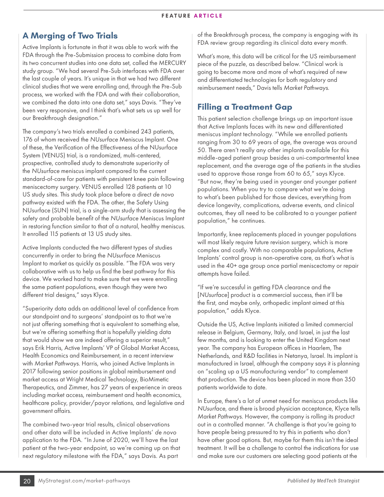# **A Merging of Two Trials**

Active Implants is fortunate in that it was able to work with the FDA through the Pre-Submission process to combine data from its two concurrent studies into one data set, called the MERCURY study group. "We had several Pre-Sub interfaces with FDA over the last couple of years. It's unique in that we had two different clinical studies that we were enrolling and, through the Pre-Sub process, we worked with the FDA and with their collaboration, we combined the data into one data set," says Davis. "They've been very responsive, and I think that's what sets us up well for our Breakthrough designation."

The company's two trials enrolled a combined 243 patients, 176 of whom received the *NUsurface* Meniscus Implant. One of these, the Verification of the Effectiveness of the NUsurface System (VENUS) trial, is a randomized, multi-centered, prospective, controlled study to demonstrate superiority of the *NUsurface* meniscus implant compared to the current standard-of-care for patients with persistent knee pain following meniscectomy surgery. VENUS enrolled 128 patients at 10 US study sites. This study took place before a direct *de novo* pathway existed with the FDA. The other, the Safety Using NUsurface (SUN) trial, is a single-arm study that is assessing the safety and probable benefit of the *NUsurface* Meniscus Implant in restoring function similar to that of a natural, healthy meniscus. It enrolled 115 patients at 13 US study sites.

Active Implants conducted the two different types of studies concurrently in order to bring the *NUsurface* Meniscus Implant to market as quickly as possible. "The FDA was very collaborative with us to help us find the best pathway for this device. We worked hard to make sure that we were enrolling the same patient populations, even though they were two different trial designs," says Klyce.

"Superiority data adds an additional level of confidence from our standpoint and to surgeons' standpoint as to that we're not just offering something that is equivalent to something else, but we're offering something that is hopefully yielding data that would show we are indeed offering a superior result," says Erik Harris, Active Implants' VP of Global Market Access, Health Economics and Reimbursement, in a recent interview with *Market Pathways*. Harris, who joined Active Implants in 2017 following senior positions in global reimbursement and market access at Wright Medical Technology, BioMimetic Therapeutics, and Zimmer, has 27 years of experience in areas including market access, reimbursement and health economics, healthcare policy, provider/payor relations, and legislative and government affairs.

The combined two-year trial results, clinical observations and other data will be included in Active Implants' *de novo* application to the FDA. "In June of 2020, we'll have the last patient at the two-year endpoint, so we're coming up on that next regulatory milestone with the FDA," says Davis. As part

of the Breakthrough process, the company is engaging with its FDA review group regarding its clinical data every month.

What's more, this data will be critical for the US reimbursement piece of the puzzle, as described below. "Clinical work is going to become more and more of what's required of new and differentiated technologies for both regulatory and reimbursement needs," Davis tells *Market Pathways*.

# **Filling a Treatment Gap**

This patient selection challenge brings up an important issue that Active Implants faces with its new and differentiated meniscus implant technology. "While we enrolled patients ranging from 30 to 69 years of age, the average was around 50. There aren't really any other implants available for this middle-aged patient group besides a uni-compartmental knee replacement, and the average age of the patients in the studies used to approve those range from 60 to 65," says Klyce. "But now, they're being used in younger and younger patient populations. When you try to compare what we're doing to what's been published for those devices, everything from device longevity, complications, adverse events, and clinical outcomes, they all need to be calibrated to a younger patient population," he continues.

Importantly, knee replacements placed in younger populations will most likely require future revision surgery, which is more complex and costly. With no comparable populations, Active Implants' control group is non-operative care, as that's what is used in the 40+ age group once partial meniscectomy or repair attempts have failed.

"If we're successful in getting FDA clearance and the [*NUsurface*] product is a commercial success, then it'll be the first, and maybe only, orthopedic implant aimed at this population," adds Klyce.

Outside the US, Active Implants initiated a limited commercial release in Belgium, Germany, Italy, and Israel, in just the last few months, and is looking to enter the United Kingdom next year. The company has European offices in Haarlem, The Netherlands, and R&D facilities in Netanya, Israel. Its implant is manufactured in Israel, although the company says it is planning on "scaling up a US manufacturing vendor" to complement that production. The device has been placed in more than 350 patients worldwide to date.

In Europe, there's a lot of unmet need for meniscus products like *NUsurface*, and there is broad physician acceptance, Klyce tells *Market Pathways*. However, the company is rolling its product out in a controlled manner. "A challenge is that you're going to have people being pressured to try this in patients who don't have other good options. But, maybe for them this isn't the ideal treatment. It will be a challenge to control the indications for use and make sure our customers are selecting good patients at the